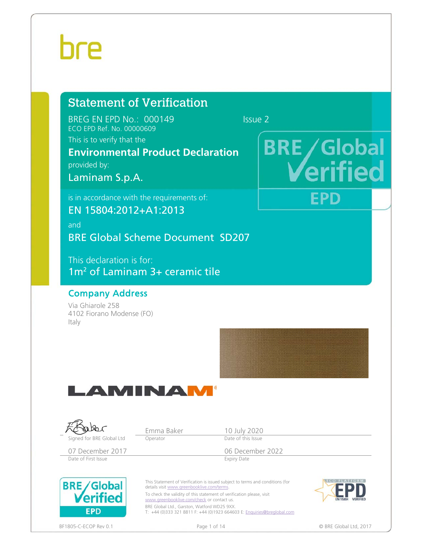## hre

### Statement of Verification

BREG EN EPD No.: 000149 Issue 2 ECO EPD Ref. No. 00000609

This is to verify that the

### **Environmental Product Declaration**

provided by:

Laminam S.p.A.

is in accordance with the requirements of:

EN 15804:2012+A1:2013

and BRE Global Scheme Document SD207

This declaration is for: 1m2 of Laminam 3+ ceramic tile

### Company Address

Via Ghiarole 258 4102 Fiorano Modense (FO) Italy





# **BRE/Global EPD**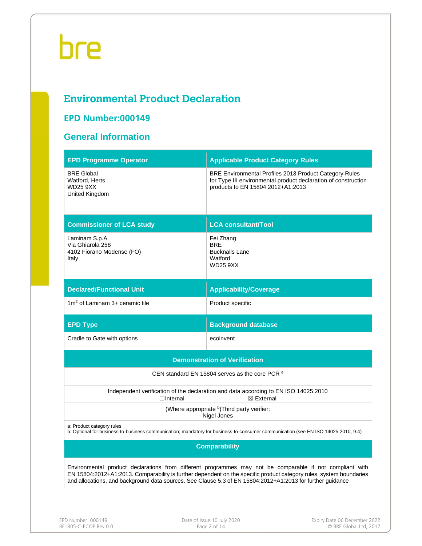### **Environmental Product Declaration**

### **EPD Number:000149**

### **General Information**

| <b>EPD Programme Operator</b>                                                                                                                                                                                                                                                                                                                 | <b>Applicable Product Category Rules</b>                                                                                                                             |  |  |  |  |  |  |
|-----------------------------------------------------------------------------------------------------------------------------------------------------------------------------------------------------------------------------------------------------------------------------------------------------------------------------------------------|----------------------------------------------------------------------------------------------------------------------------------------------------------------------|--|--|--|--|--|--|
| <b>BRE Global</b><br>Watford, Herts<br><b>WD25 9XX</b><br>United Kingdom                                                                                                                                                                                                                                                                      | <b>BRE Environmental Profiles 2013 Product Category Rules</b><br>for Type III environmental product declaration of construction<br>products to EN 15804:2012+A1:2013 |  |  |  |  |  |  |
| <b>Commissioner of LCA study</b>                                                                                                                                                                                                                                                                                                              | <b>LCA consultant/Tool</b>                                                                                                                                           |  |  |  |  |  |  |
| Laminam S.p.A.<br>Via Ghiarola 258<br>4102 Fiorano Modense (FO)<br>Italy                                                                                                                                                                                                                                                                      | Fei Zhang<br><b>BRE</b><br><b>Bucknalls Lane</b><br>Watford<br><b>WD25 9XX</b>                                                                                       |  |  |  |  |  |  |
| <b>Declared/Functional Unit</b>                                                                                                                                                                                                                                                                                                               | <b>Applicability/Coverage</b>                                                                                                                                        |  |  |  |  |  |  |
| $1m2$ of Laminam 3+ ceramic tile                                                                                                                                                                                                                                                                                                              | Product specific                                                                                                                                                     |  |  |  |  |  |  |
| <b>EPD Type</b>                                                                                                                                                                                                                                                                                                                               | <b>Background database</b>                                                                                                                                           |  |  |  |  |  |  |
| Cradle to Gate with options                                                                                                                                                                                                                                                                                                                   | ecoinvent                                                                                                                                                            |  |  |  |  |  |  |
|                                                                                                                                                                                                                                                                                                                                               | <b>Demonstration of Verification</b>                                                                                                                                 |  |  |  |  |  |  |
|                                                                                                                                                                                                                                                                                                                                               | CEN standard EN 15804 serves as the core PCR a                                                                                                                       |  |  |  |  |  |  |
| $\Box$ Internal                                                                                                                                                                                                                                                                                                                               | Independent verification of the declaration and data according to EN ISO 14025:2010<br>$\boxtimes$ External                                                          |  |  |  |  |  |  |
|                                                                                                                                                                                                                                                                                                                                               | (Where appropriate b)Third party verifier:<br>Nigel Jones                                                                                                            |  |  |  |  |  |  |
| a: Product category rules                                                                                                                                                                                                                                                                                                                     | b: Optional for business-to-business communication; mandatory for business-to-consumer communication (see EN ISO 14025:2010, 9.4)                                    |  |  |  |  |  |  |
| <b>Comparability</b>                                                                                                                                                                                                                                                                                                                          |                                                                                                                                                                      |  |  |  |  |  |  |
| Environmental product declarations from different programmes may not be comparable if not compliant with<br>EN 15804:2012+A1:2013. Comparability is further dependent on the specific product category rules, system boundaries<br>and allocations, and background data sources. See Clause 5.3 of EN 15804:2012+A1:2013 for further guidance |                                                                                                                                                                      |  |  |  |  |  |  |
|                                                                                                                                                                                                                                                                                                                                               |                                                                                                                                                                      |  |  |  |  |  |  |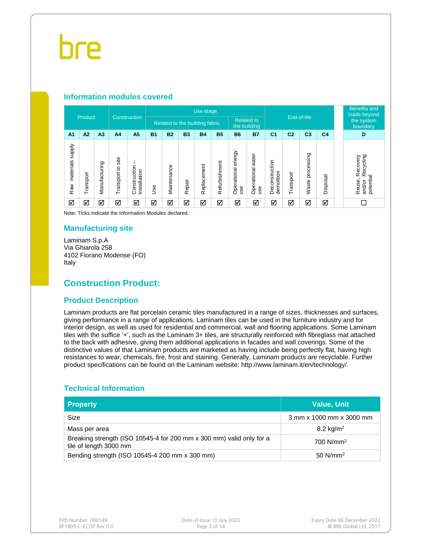#### **Information modules covered**

|                            |           |               |                                     |                             |                                |             |           | Use stage   |                                   |                              |                         |                              |                |                               |                         |  | <b>Benefits and</b><br>loads beyond                               |
|----------------------------|-----------|---------------|-------------------------------------|-----------------------------|--------------------------------|-------------|-----------|-------------|-----------------------------------|------------------------------|-------------------------|------------------------------|----------------|-------------------------------|-------------------------|--|-------------------------------------------------------------------|
| Product                    |           |               | <b>Construction</b>                 |                             | Related to the building fabric |             |           |             | <b>Related to</b><br>the building |                              |                         | End-of-life                  |                |                               | the system<br>boundary  |  |                                                                   |
| A <sub>1</sub>             | A2        | A3            | A <sub>4</sub>                      | A <sub>5</sub>              | <b>B1</b>                      | <b>B2</b>   | <b>B3</b> | <b>B4</b>   | <b>B5</b>                         | <b>B6</b>                    | <b>B7</b>               | C <sub>1</sub>               | C <sub>2</sub> | C <sub>3</sub>                | C <sub>4</sub>          |  | D                                                                 |
| supply<br>materials<br>Raw | Transport | Manufacturing | site<br>$\overline{c}$<br>Transport | Construction<br>nstallation | 9se                            | Maintenance | Repair    | Replacement | Refurbishment                     | energy<br>Operational<br>use | Operational water<br>ge | Deconstruction<br>demolition | ransport       | sing<br>ΰĎ<br>proces<br>Waste | ᢎ<br>Ö<br><b>Dispos</b> |  | ecycling<br>Recovery<br>$\alpha$<br>potential<br>Reuse,<br>and/or |
| ☑                          | ☑         | ☑             | ☑                                   | ☑                           | ☑                              | ☑           | ☑         | ☑           | ☑                                 | ☑                            | ☑                       | ☑                            | ☑              | ☑                             | ☑                       |  |                                                                   |

Note: Ticks indicate the Information Modules declared.

#### **Manufacturing site**

Laminam S.p.A Via Ghiarola 258 4102 Fiorano Modense (FO) Italy

#### **Construction Product:**

#### **Product Description**

Laminam products are flat porcelain ceramic tiles manufactured in a range of sizes, thicknesses and surfaces, giving performance in a range of applications. Laminam tiles can be used in the furniture industry and for interior design, as well as used for residential and commercial, wall and flooring applications. Some Laminam tiles with the suffice '+', such as the Laminam 3+ tiles, are structurally reinforced with fibreglass mat attached to the back with adhesive, giving them additional applications in facades and wall coverings. Some of the distinctive values of that Laminam products are marketed as having include being perfectly flat, having high resistances to wear, chemicals, fire, frost and staining. Generally, Laminam products are recyclable. Further product specifications can be found on the Laminam website: http://www.laminam.it/en/technology/.

#### **Technical Information**

| <b>Property</b>                                                                                | <b>Value, Unit</b>       |
|------------------------------------------------------------------------------------------------|--------------------------|
| Size                                                                                           | 3 mm x 1000 mm x 3000 mm |
| Mass per area                                                                                  | 8.2 kg/m <sup>2</sup>    |
| Breaking strength (ISO 10545-4 for 200 mm x 300 mm) valid only for a<br>tile of length 3000 mm | 700 $N/mm^2$             |
| Bending strength (ISO 10545-4 200 mm x 300 mm)                                                 | $50$ N/mm <sup>2</sup>   |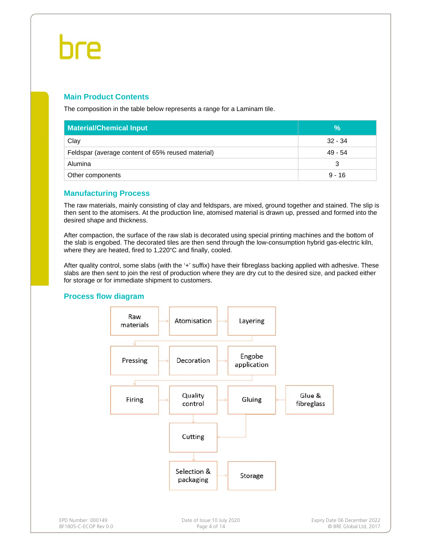#### **Main Product Contents**

The composition in the table below represents a range for a Laminam tile.

| <b>Material/Chemical Input</b>                    | ℅         |
|---------------------------------------------------|-----------|
| Clay                                              | $32 - 34$ |
| Feldspar (average content of 65% reused material) | $49 - 54$ |
| Alumina                                           | 3         |
| Other components                                  | $9 - 16$  |

#### **Manufacturing Process**

The raw materials, mainly consisting of clay and feldspars, are mixed, ground together and stained. The slip is then sent to the atomisers. At the production line, atomised material is drawn up, pressed and formed into the desired shape and thickness.

After compaction, the surface of the raw slab is decorated using special printing machines and the bottom of the slab is engobed. The decorated tiles are then send through the low-consumption hybrid gas-electric kiln, where they are heated, fired to 1,220°C and finally, cooled.

After quality control, some slabs (with the '+' suffix) have their fibreglass backing applied with adhesive. These slabs are then sent to join the rest of production where they are dry cut to the desired size, and packed either for storage or for immediate shipment to customers.

#### **Process flow diagram**

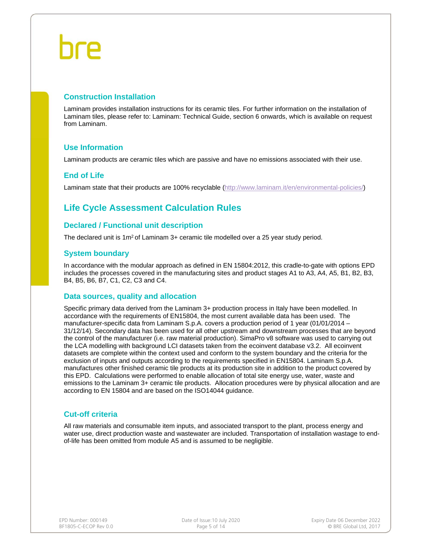#### **Construction Installation**

Laminam provides installation instructions for its ceramic tiles. For further information on the installation of Laminam tiles, please refer to: Laminam: Technical Guide, section 6 onwards, which is available on request from Laminam.

#### **Use Information**

Laminam products are ceramic tiles which are passive and have no emissions associated with their use.

#### **End of Life**

Laminam state that their products are 100% recyclable (http://www.laminam.it/en/environmental-policies/)

### **Life Cycle Assessment Calculation Rules**

#### **Declared / Functional unit description**

The declared unit is 1m2 of Laminam 3+ ceramic tile modelled over a 25 year study period.

#### **System boundary**

In accordance with the modular approach as defined in EN 15804:2012, this cradle-to-gate with options EPD includes the processes covered in the manufacturing sites and product stages A1 to A3, A4, A5, B1, B2, B3, B4, B5, B6, B7, C1, C2, C3 and C4.

#### **Data sources, quality and allocation**

Specific primary data derived from the Laminam 3+ production process in Italy have been modelled. In accordance with the requirements of EN15804, the most current available data has been used. The manufacturer-specific data from Laminam S.p.A. covers a production period of 1 year (01/01/2014 – 31/12/14). Secondary data has been used for all other upstream and downstream processes that are beyond the control of the manufacturer (i.e. raw material production). SimaPro v8 software was used to carrying out the LCA modelling with background LCI datasets taken from the ecoinvent database v3.2. All ecoinvent datasets are complete within the context used and conform to the system boundary and the criteria for the exclusion of inputs and outputs according to the requirements specified in EN15804. Laminam S.p.A. manufactures other finished ceramic tile products at its production site in addition to the product covered by this EPD. Calculations were performed to enable allocation of total site energy use, water, waste and emissions to the Laminam 3+ ceramic tile products. Allocation procedures were by physical allocation and are according to EN 15804 and are based on the ISO14044 guidance.

#### **Cut-off criteria**

All raw materials and consumable item inputs, and associated transport to the plant, process energy and water use, direct production waste and wastewater are included. Transportation of installation wastage to endof-life has been omitted from module A5 and is assumed to be negligible.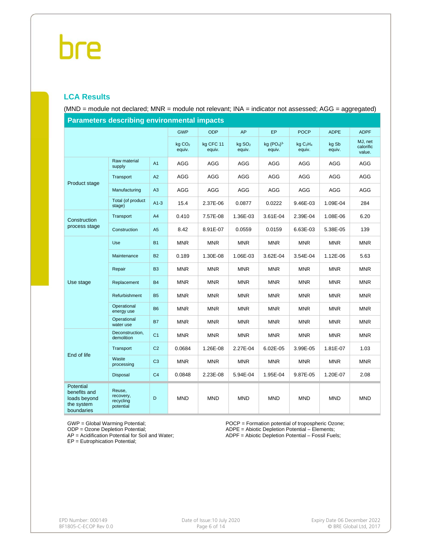#### **LCA Results**

(MND = module not declared; MNR = module not relevant; INA = indicator not assessed; AGG = aggregated)

| <b>Parameters describing environmental impacts</b>                    |                                               |                |                              |                     |                              |                       |                                            |                 |                                |  |  |
|-----------------------------------------------------------------------|-----------------------------------------------|----------------|------------------------------|---------------------|------------------------------|-----------------------|--------------------------------------------|-----------------|--------------------------------|--|--|
|                                                                       |                                               |                | <b>GWP</b>                   | <b>ODP</b>          | <b>AP</b>                    | <b>EP</b>             | <b>POCP</b>                                | <b>ADPE</b>     | <b>ADPF</b>                    |  |  |
|                                                                       |                                               |                | kg CO <sub>2</sub><br>equiv. | kg CFC 11<br>equiv. | kg SO <sub>2</sub><br>equiv. | kg $(PO4)3$<br>equiv. | kg C <sub>2</sub> H <sub>4</sub><br>equiv. | kg Sb<br>equiv. | MJ, net<br>calorific<br>value. |  |  |
|                                                                       | Raw material<br>supply                        | A <sub>1</sub> | AGG                          | <b>AGG</b>          | <b>AGG</b>                   | <b>AGG</b>            | <b>AGG</b>                                 | <b>AGG</b>      | AGG                            |  |  |
| Product stage                                                         | Transport                                     | A2             | AGG                          | AGG                 | AGG                          | AGG                   | AGG                                        | AGG             | AGG                            |  |  |
|                                                                       | Manufacturing                                 | A3             | <b>AGG</b>                   | AGG                 | <b>AGG</b>                   | <b>AGG</b>            | AGG                                        | <b>AGG</b>      | AGG                            |  |  |
|                                                                       | Total (of product<br>stage)                   | $A1-3$         | 15.4                         | 2.37E-06            | 0.0877                       | 0.0222                | 9.46E-03                                   | 1.09E-04        | 284                            |  |  |
| Construction                                                          | Transport                                     | A4             | 0.410                        | 7.57E-08            | 1.36E-03                     | 3.61E-04              | 2.39E-04                                   | 1.08E-06        | 6.20                           |  |  |
| process stage                                                         | Construction                                  | A <sub>5</sub> | 8.42                         | 8.91E-07            | 0.0559                       | 0.0159                | 6.63E-03                                   | 5.38E-05        | 139                            |  |  |
|                                                                       | Use                                           | <b>B1</b>      | <b>MNR</b>                   | <b>MNR</b>          | <b>MNR</b>                   | <b>MNR</b>            | <b>MNR</b>                                 | <b>MNR</b>      | <b>MNR</b>                     |  |  |
|                                                                       | Maintenance                                   | <b>B2</b>      | 0.189                        | 1.30E-08            | 1.06E-03                     | 3.62E-04              | 3.54E-04                                   | 1.12E-06        | 5.63                           |  |  |
|                                                                       | Repair                                        | B <sub>3</sub> | <b>MNR</b>                   | <b>MNR</b>          | <b>MNR</b>                   | <b>MNR</b>            | MNR                                        | <b>MNR</b>      | <b>MNR</b>                     |  |  |
| Use stage                                                             | Replacement                                   | <b>B4</b>      | <b>MNR</b>                   | <b>MNR</b>          | <b>MNR</b>                   | <b>MNR</b>            | <b>MNR</b>                                 | <b>MNR</b>      | <b>MNR</b>                     |  |  |
|                                                                       | Refurbishment                                 | <b>B5</b>      | <b>MNR</b>                   | <b>MNR</b>          | <b>MNR</b>                   | <b>MNR</b>            | <b>MNR</b>                                 | <b>MNR</b>      | <b>MNR</b>                     |  |  |
|                                                                       | Operational<br>energy use                     | <b>B6</b>      | <b>MNR</b>                   | <b>MNR</b>          | <b>MNR</b>                   | <b>MNR</b>            | <b>MNR</b>                                 | <b>MNR</b>      | <b>MNR</b>                     |  |  |
|                                                                       | Operational<br>water use                      | <b>B7</b>      | <b>MNR</b>                   | <b>MNR</b>          | <b>MNR</b>                   | <b>MNR</b>            | <b>MNR</b>                                 | <b>MNR</b>      | <b>MNR</b>                     |  |  |
|                                                                       | Deconstruction,<br>demolition                 | C <sub>1</sub> | <b>MNR</b>                   | <b>MNR</b>          | <b>MNR</b>                   | <b>MNR</b>            | <b>MNR</b>                                 | <b>MNR</b>      | <b>MNR</b>                     |  |  |
|                                                                       | Transport                                     | C <sub>2</sub> | 0.0684                       | 1.26E-08            | 2.27E-04                     | 6.02E-05              | 3.99E-05                                   | 1.81E-07        | 1.03                           |  |  |
| End of life                                                           | Waste<br>processing                           | C <sub>3</sub> | <b>MNR</b>                   | <b>MNR</b>          | <b>MNR</b>                   | <b>MNR</b>            | <b>MNR</b>                                 | <b>MNR</b>      | <b>MNR</b>                     |  |  |
|                                                                       | Disposal                                      | C <sub>4</sub> | 0.0848                       | 2.23E-08            | 5.94E-04                     | 1.95E-04              | 9.87E-05                                   | 1.20E-07        | 2.08                           |  |  |
| Potential<br>benefits and<br>loads beyond<br>the system<br>boundaries | Reuse,<br>recovery,<br>recycling<br>potential | D              | <b>MND</b>                   | <b>MND</b>          | <b>MND</b>                   | <b>MND</b>            | <b>MND</b>                                 | <b>MND</b>      | <b>MND</b>                     |  |  |

**Parameters describing environmental impacts**

GWP = Global Warming Potential;

ODP = Ozone Depletion Potential;

AP = Acidification Potential for Soil and Water;

EP = Eutrophication Potential;

POCP = Formation potential of tropospheric Ozone; ADPE = Abiotic Depletion Potential – Elements;

ADPF = Abiotic Depletion Potential – Fossil Fuels;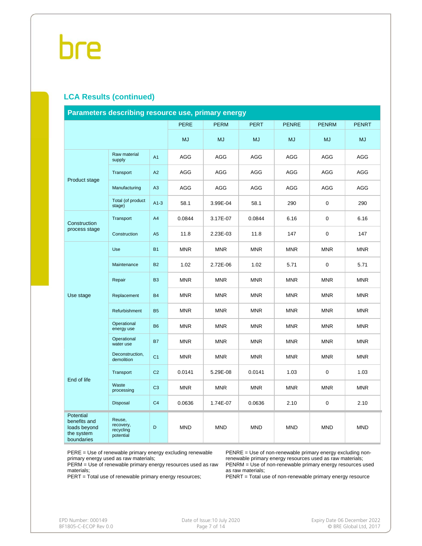#### **LCA Results (continued)**

| Parameters describing resource use, primary energy                    |                                               |                |             |             |             |              |              |              |  |  |
|-----------------------------------------------------------------------|-----------------------------------------------|----------------|-------------|-------------|-------------|--------------|--------------|--------------|--|--|
|                                                                       |                                               |                | <b>PERE</b> | <b>PERM</b> | <b>PERT</b> | <b>PENRE</b> | <b>PENRM</b> | <b>PENRT</b> |  |  |
|                                                                       |                                               |                | <b>MJ</b>   | <b>MJ</b>   | <b>MJ</b>   | <b>MJ</b>    | <b>MJ</b>    | <b>MJ</b>    |  |  |
|                                                                       | Raw material<br>supply                        | A <sub>1</sub> | AGG         | AGG         | AGG         | AGG          | AGG          | AGG          |  |  |
| Product stage                                                         | Transport                                     | A2             | <b>AGG</b>  | <b>AGG</b>  | <b>AGG</b>  | <b>AGG</b>   | <b>AGG</b>   | <b>AGG</b>   |  |  |
|                                                                       | Manufacturing                                 | A3             | <b>AGG</b>  | <b>AGG</b>  | <b>AGG</b>  | <b>AGG</b>   | <b>AGG</b>   | <b>AGG</b>   |  |  |
|                                                                       | Total (of product<br>stage)                   | $A1-3$         | 58.1        | 3.99E-04    | 58.1        | 290          | $\mathbf 0$  | 290          |  |  |
| Construction                                                          | Transport                                     | A4             | 0.0844      | 3.17E-07    | 0.0844      | 6.16         | $\mathbf 0$  | 6.16         |  |  |
| process stage                                                         | Construction                                  | A5             | 11.8        | 2.23E-03    | 11.8        | 147          | $\mathbf 0$  | 147          |  |  |
|                                                                       | Use                                           | <b>B1</b>      | <b>MNR</b>  | <b>MNR</b>  | <b>MNR</b>  | <b>MNR</b>   | <b>MNR</b>   | <b>MNR</b>   |  |  |
|                                                                       | Maintenance                                   | <b>B2</b>      | 1.02        | 2.72E-06    | 1.02        | 5.71         | 0            | 5.71         |  |  |
|                                                                       | Repair                                        | B <sub>3</sub> | <b>MNR</b>  | <b>MNR</b>  | <b>MNR</b>  | <b>MNR</b>   | <b>MNR</b>   | <b>MNR</b>   |  |  |
| Use stage                                                             | Replacement                                   | <b>B4</b>      | <b>MNR</b>  | <b>MNR</b>  | <b>MNR</b>  | <b>MNR</b>   | <b>MNR</b>   | <b>MNR</b>   |  |  |
|                                                                       | Refurbishment                                 | <b>B5</b>      | <b>MNR</b>  | <b>MNR</b>  | <b>MNR</b>  | <b>MNR</b>   | <b>MNR</b>   | <b>MNR</b>   |  |  |
|                                                                       | Operational<br>energy use                     | <b>B6</b>      | <b>MNR</b>  | <b>MNR</b>  | <b>MNR</b>  | <b>MNR</b>   | <b>MNR</b>   | <b>MNR</b>   |  |  |
|                                                                       | Operational<br>water use                      | <b>B7</b>      | <b>MNR</b>  | <b>MNR</b>  | <b>MNR</b>  | <b>MNR</b>   | <b>MNR</b>   | <b>MNR</b>   |  |  |
|                                                                       | Deconstruction,<br>demolition                 | C <sub>1</sub> | <b>MNR</b>  | <b>MNR</b>  | <b>MNR</b>  | <b>MNR</b>   | <b>MNR</b>   | <b>MNR</b>   |  |  |
| End of life                                                           | Transport                                     | C <sub>2</sub> | 0.0141      | 5.29E-08    | 0.0141      | 1.03         | 0            | 1.03         |  |  |
|                                                                       | Waste<br>processing                           | C <sub>3</sub> | <b>MNR</b>  | <b>MNR</b>  | <b>MNR</b>  | <b>MNR</b>   | <b>MNR</b>   | <b>MNR</b>   |  |  |
|                                                                       | Disposal                                      | C <sub>4</sub> | 0.0636      | 1.74E-07    | 0.0636      | 2.10         | 0            | 2.10         |  |  |
| Potential<br>benefits and<br>loads beyond<br>the system<br>boundaries | Reuse,<br>recovery,<br>recycling<br>potential | D              | <b>MND</b>  | <b>MND</b>  | <b>MND</b>  | <b>MND</b>   | <b>MND</b>   | <b>MND</b>   |  |  |

PERE = Use of renewable primary energy excluding renewable primary energy used as raw materials;

PERM = Use of renewable primary energy resources used as raw materials;

PERT = Total use of renewable primary energy resources;

PENRE = Use of non-renewable primary energy excluding nonrenewable primary energy resources used as raw materials; PENRM = Use of non-renewable primary energy resources used as raw materials;

PENRT = Total use of non-renewable primary energy resource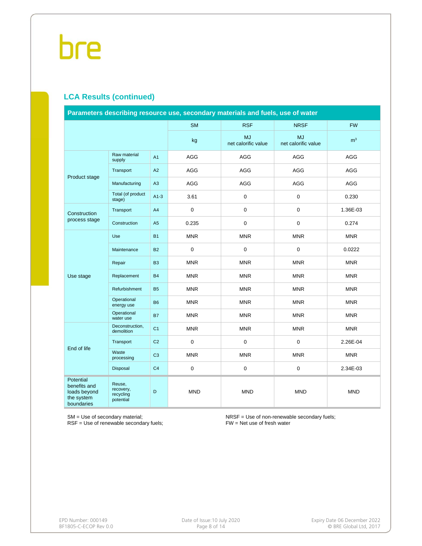#### **LCA Results (continued)**

| Parameters describing resource use, secondary materials and fuels, use of water |                                               |                |             |                                  |                                  |                |  |  |  |
|---------------------------------------------------------------------------------|-----------------------------------------------|----------------|-------------|----------------------------------|----------------------------------|----------------|--|--|--|
|                                                                                 |                                               |                | <b>SM</b>   | <b>RSF</b>                       | <b>NRSF</b>                      | <b>FW</b>      |  |  |  |
|                                                                                 |                                               |                | kg          | <b>MJ</b><br>net calorific value | <b>MJ</b><br>net calorific value | m <sup>3</sup> |  |  |  |
|                                                                                 | Raw material<br>supply                        | A1             | <b>AGG</b>  | <b>AGG</b>                       | AGG                              | <b>AGG</b>     |  |  |  |
| Product stage                                                                   | Transport                                     | A2             | AGG         | AGG                              | AGG                              | AGG            |  |  |  |
|                                                                                 | Manufacturing                                 | A3             | AGG         | AGG                              | AGG                              | <b>AGG</b>     |  |  |  |
|                                                                                 | Total (of product<br>stage)                   | $A1-3$         | 3.61        | 0                                | $\mathsf 0$                      | 0.230          |  |  |  |
| Construction                                                                    | Transport                                     | A4             | $\mathbf 0$ | 0                                | $\mathbf 0$                      | 1.36E-03       |  |  |  |
| process stage                                                                   | Construction                                  | A <sub>5</sub> | 0.235       | 0                                | $\mathbf 0$                      | 0.274          |  |  |  |
|                                                                                 | Use                                           | <b>B1</b>      | <b>MNR</b>  | <b>MNR</b>                       | <b>MNR</b>                       | <b>MNR</b>     |  |  |  |
|                                                                                 | Maintenance                                   | <b>B2</b>      | $\mathbf 0$ | $\mathbf 0$                      | $\mathbf 0$                      | 0.0222         |  |  |  |
|                                                                                 | Repair                                        | <b>B3</b>      | <b>MNR</b>  | <b>MNR</b>                       | <b>MNR</b>                       | <b>MNR</b>     |  |  |  |
| Use stage                                                                       | Replacement                                   | <b>B4</b>      | <b>MNR</b>  | <b>MNR</b>                       | <b>MNR</b>                       | <b>MNR</b>     |  |  |  |
|                                                                                 | Refurbishment                                 | <b>B5</b>      | <b>MNR</b>  | <b>MNR</b>                       | <b>MNR</b>                       | <b>MNR</b>     |  |  |  |
|                                                                                 | Operational<br>energy use                     | <b>B6</b>      | <b>MNR</b>  | <b>MNR</b>                       | <b>MNR</b>                       | <b>MNR</b>     |  |  |  |
|                                                                                 | Operational<br>water use                      | <b>B7</b>      | <b>MNR</b>  | <b>MNR</b>                       | <b>MNR</b>                       | <b>MNR</b>     |  |  |  |
|                                                                                 | Deconstruction,<br>demolition                 | C <sub>1</sub> | <b>MNR</b>  | <b>MNR</b>                       | <b>MNR</b>                       | <b>MNR</b>     |  |  |  |
| End of life                                                                     | Transport                                     | C <sub>2</sub> | 0           | $\mathbf 0$                      | $\mathbf 0$                      | 2.26E-04       |  |  |  |
|                                                                                 | Waste<br>processing                           | C <sub>3</sub> | <b>MNR</b>  | <b>MNR</b>                       | <b>MNR</b>                       | <b>MNR</b>     |  |  |  |
|                                                                                 | Disposal                                      | C <sub>4</sub> | $\mathsf 0$ | 0                                | $\mathsf 0$                      | 2.34E-03       |  |  |  |
| Potential<br>benefits and<br>loads beyond<br>the system<br>boundaries           | Reuse,<br>recovery,<br>recycling<br>potential | D              | <b>MND</b>  | <b>MND</b>                       | <b>MND</b>                       | <b>MND</b>     |  |  |  |

SM = Use of secondary material;

RSF = Use of renewable secondary fuels;

NRSF = Use of non-renewable secondary fuels; FW = Net use of fresh water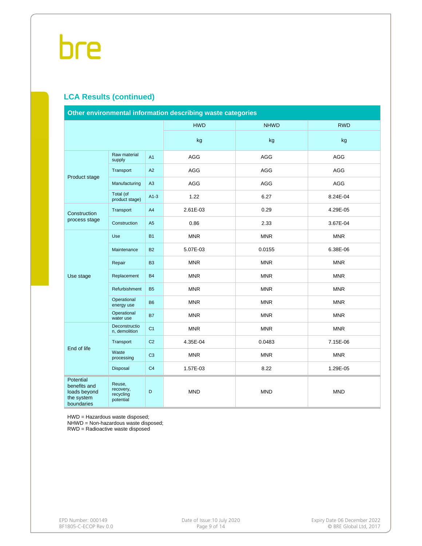#### **LCA Results (continued)**

| Other environmental information describing waste categories           |                                               |                |            |             |            |  |  |  |  |
|-----------------------------------------------------------------------|-----------------------------------------------|----------------|------------|-------------|------------|--|--|--|--|
|                                                                       |                                               |                | <b>HWD</b> | <b>NHWD</b> | <b>RWD</b> |  |  |  |  |
|                                                                       |                                               |                | kg         | kg          | kg         |  |  |  |  |
|                                                                       | Raw material<br>supply                        | A1             | AGG        | <b>AGG</b>  | <b>AGG</b> |  |  |  |  |
|                                                                       | Transport                                     | A2             | AGG        | <b>AGG</b>  | AGG        |  |  |  |  |
| Product stage                                                         | Manufacturing                                 | A3             | AGG        | AGG         | AGG        |  |  |  |  |
|                                                                       | Total (of<br>product stage)                   | $A1-3$         | 1.22       | 6.27        | 8.24E-04   |  |  |  |  |
| Construction                                                          | Transport                                     | A <sub>4</sub> | 2.61E-03   | 0.29        | 4.29E-05   |  |  |  |  |
| process stage                                                         | Construction                                  | A <sub>5</sub> | 0.86       | 2.33        | 3.67E-04   |  |  |  |  |
|                                                                       | Use                                           | <b>B1</b>      | <b>MNR</b> | <b>MNR</b>  | <b>MNR</b> |  |  |  |  |
|                                                                       | Maintenance                                   | <b>B2</b>      | 5.07E-03   | 0.0155      | 6.38E-06   |  |  |  |  |
|                                                                       | Repair                                        | B <sub>3</sub> | <b>MNR</b> | <b>MNR</b>  | <b>MNR</b> |  |  |  |  |
| Use stage                                                             | Replacement                                   | <b>B4</b>      | <b>MNR</b> | <b>MNR</b>  | <b>MNR</b> |  |  |  |  |
|                                                                       | Refurbishment                                 | <b>B5</b>      | <b>MNR</b> | <b>MNR</b>  | <b>MNR</b> |  |  |  |  |
|                                                                       | Operational<br>energy use                     | <b>B6</b>      | <b>MNR</b> | <b>MNR</b>  | <b>MNR</b> |  |  |  |  |
|                                                                       | Operational<br>water use                      | <b>B7</b>      | <b>MNR</b> | <b>MNR</b>  | <b>MNR</b> |  |  |  |  |
|                                                                       | Deconstructio<br>n, demolition                | C <sub>1</sub> | <b>MNR</b> | <b>MNR</b>  | <b>MNR</b> |  |  |  |  |
|                                                                       | Transport                                     | C <sub>2</sub> | 4.35E-04   | 0.0483      | 7.15E-06   |  |  |  |  |
| End of life                                                           | Waste<br>processing                           | C <sub>3</sub> | <b>MNR</b> | <b>MNR</b>  | <b>MNR</b> |  |  |  |  |
|                                                                       | Disposal                                      | C <sub>4</sub> | 1.57E-03   | 8.22        | 1.29E-05   |  |  |  |  |
| Potential<br>benefits and<br>loads beyond<br>the system<br>boundaries | Reuse,<br>recovery,<br>recycling<br>potential | D              | <b>MND</b> | <b>MND</b>  | <b>MND</b> |  |  |  |  |

HWD = Hazardous waste disposed;

NHWD = Non-hazardous waste disposed;

RWD = Radioactive waste disposed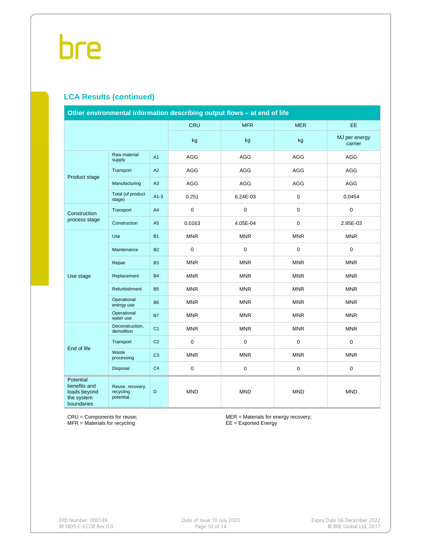#### **LCA Results (continued)**

| Other environmental information describing output flows - at end of life     |                                            |                |             |             |                  |                          |  |  |  |
|------------------------------------------------------------------------------|--------------------------------------------|----------------|-------------|-------------|------------------|--------------------------|--|--|--|
|                                                                              |                                            |                | <b>CRU</b>  | <b>MFR</b>  | <b>MER</b>       | <b>EE</b>                |  |  |  |
|                                                                              |                                            |                | kg          | kg          | kg               | MJ per energy<br>carrier |  |  |  |
|                                                                              | Raw material<br>supply                     | A1             | AGG         | AGG         | AGG              | <b>AGG</b>               |  |  |  |
|                                                                              | Transport                                  | A2             | AGG         | <b>AGG</b>  | AGG              | AGG                      |  |  |  |
| Product stage                                                                | Manufacturing                              | A3             | AGG         | AGG         | AGG              | <b>AGG</b>               |  |  |  |
|                                                                              | Total (of product<br>stage)                | $A1-3$         | 0.251       | 6.24E-03    | $\boldsymbol{0}$ | 0.0454                   |  |  |  |
| Construction                                                                 | Transport                                  | A4             | $\mathsf 0$ | $\mathsf 0$ | $\mathbf 0$      | $\mathbf 0$              |  |  |  |
| process stage                                                                | Construction                               | A5             | 0.0163      | 4.05E-04    | $\mathbf 0$      | 2.95E-03                 |  |  |  |
|                                                                              | Use                                        | <b>B1</b>      | <b>MNR</b>  | <b>MNR</b>  | <b>MNR</b>       | <b>MNR</b>               |  |  |  |
|                                                                              | Maintenance                                | <b>B2</b>      | $\mathsf 0$ | 0           | $\mathbf 0$      | $\mathbf 0$              |  |  |  |
|                                                                              | Repair                                     | B <sub>3</sub> | <b>MNR</b>  | <b>MNR</b>  | <b>MNR</b>       | <b>MNR</b>               |  |  |  |
| Use stage                                                                    | Replacement                                | <b>B4</b>      | <b>MNR</b>  | <b>MNR</b>  | <b>MNR</b>       | <b>MNR</b>               |  |  |  |
|                                                                              | Refurbishment                              | <b>B5</b>      | <b>MNR</b>  | <b>MNR</b>  | <b>MNR</b>       | <b>MNR</b>               |  |  |  |
|                                                                              | Operational<br>energy use                  | <b>B6</b>      | <b>MNR</b>  | <b>MNR</b>  | <b>MNR</b>       | <b>MNR</b>               |  |  |  |
|                                                                              | Operational<br>water use                   | <b>B7</b>      | <b>MNR</b>  | <b>MNR</b>  | <b>MNR</b>       | <b>MNR</b>               |  |  |  |
|                                                                              | Deconstruction,<br>demolition              | C <sub>1</sub> | <b>MNR</b>  | <b>MNR</b>  | <b>MNR</b>       | <b>MNR</b>               |  |  |  |
| End of life                                                                  | Transport                                  | C <sub>2</sub> | $\mathsf 0$ | 0           | $\pmb{0}$        | $\mathbf 0$              |  |  |  |
|                                                                              | Waste<br>processing                        | C <sub>3</sub> | <b>MNR</b>  | <b>MNR</b>  | <b>MNR</b>       | <b>MNR</b>               |  |  |  |
|                                                                              | <b>Disposal</b>                            | C <sub>4</sub> | $\mathbf 0$ | 0           | $\mathsf 0$      | $\mathsf{O}\xspace$      |  |  |  |
| <b>Potential</b><br>benefits and<br>loads beyond<br>the system<br>boundaries | Reuse, recovery,<br>recycling<br>potential | D              | <b>MND</b>  | <b>MND</b>  | <b>MND</b>       | <b>MND</b>               |  |  |  |

CRU = Components for reuse; MFR = Materials for recycling

MER = Materials for energy recovery; EE = Exported Energy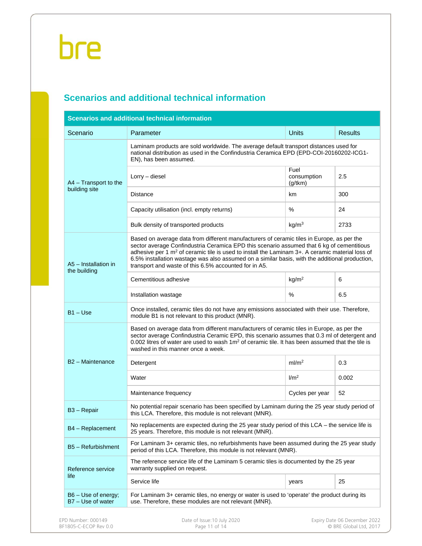### **Scenarios and additional technical information**

| Scenario                                 | Parameter                                                                                                                                                                                                                                                                                                                                                                                                                                                        | <b>Units</b>                   | <b>Results</b> |  |  |  |  |  |  |
|------------------------------------------|------------------------------------------------------------------------------------------------------------------------------------------------------------------------------------------------------------------------------------------------------------------------------------------------------------------------------------------------------------------------------------------------------------------------------------------------------------------|--------------------------------|----------------|--|--|--|--|--|--|
|                                          | Laminam products are sold worldwide. The average default transport distances used for<br>national distribution as used in the Confindustria Ceramica EPD (EPD-COI-20160202-ICG1-<br>EN), has been assumed.                                                                                                                                                                                                                                                       |                                |                |  |  |  |  |  |  |
| A4 - Transport to the                    | Lorry - diesel                                                                                                                                                                                                                                                                                                                                                                                                                                                   | Fuel<br>consumption<br>(g/tkm) | 2.5            |  |  |  |  |  |  |
| building site                            | <b>Distance</b>                                                                                                                                                                                                                                                                                                                                                                                                                                                  | km                             | 300            |  |  |  |  |  |  |
|                                          | Capacity utilisation (incl. empty returns)                                                                                                                                                                                                                                                                                                                                                                                                                       | %                              | 24             |  |  |  |  |  |  |
|                                          | Bulk density of transported products                                                                                                                                                                                                                                                                                                                                                                                                                             | kg/m <sup>3</sup>              | 2733           |  |  |  |  |  |  |
| A5 - Installation in<br>the building     | Based on average data from different manufacturers of ceramic tiles in Europe, as per the<br>sector average Confindustria Ceramica EPD this scenario assumed that 6 kg of cementitious<br>adhesive per 1 m <sup>2</sup> of ceramic tile is used to install the Laminam 3+. A ceramic material loss of<br>6.5% installation wastage was also assumed on a similar basis, with the additional production,<br>transport and waste of this 6.5% accounted for in A5. |                                |                |  |  |  |  |  |  |
|                                          | Cementitious adhesive                                                                                                                                                                                                                                                                                                                                                                                                                                            | kg/m <sup>2</sup>              | 6              |  |  |  |  |  |  |
|                                          | Installation wastage                                                                                                                                                                                                                                                                                                                                                                                                                                             | %                              | 6.5            |  |  |  |  |  |  |
| $B1 - Use$                               | Once installed, ceramic tiles do not have any emissions associated with their use. Therefore,<br>module B1 is not relevant to this product (MNR).                                                                                                                                                                                                                                                                                                                |                                |                |  |  |  |  |  |  |
|                                          | Based on average data from different manufacturers of ceramic tiles in Europe, as per the<br>sector average Confindustria Ceramic EPD, this scenario assumes that 0.3 ml of detergent and<br>0.002 litres of water are used to wash $1m^2$ of ceramic tile. It has been assumed that the tile is<br>washed in this manner once a week.                                                                                                                           |                                |                |  |  |  |  |  |  |
| B <sub>2</sub> - Maintenance             | Detergent                                                                                                                                                                                                                                                                                                                                                                                                                                                        | ml/m <sup>2</sup>              | 0.3            |  |  |  |  |  |  |
|                                          | Water                                                                                                                                                                                                                                                                                                                                                                                                                                                            | 1/m <sup>2</sup>               | 0.002          |  |  |  |  |  |  |
|                                          | Maintenance frequency                                                                                                                                                                                                                                                                                                                                                                                                                                            | Cycles per year                | 52             |  |  |  |  |  |  |
| B <sub>3</sub> – Repair                  | No potential repair scenario has been specified by Laminam during the 25 year study period of<br>this LCA. Therefore, this module is not relevant (MNR).                                                                                                                                                                                                                                                                                                         |                                |                |  |  |  |  |  |  |
| B4 - Replacement                         | No replacements are expected during the 25 year study period of this $LCA$ – the service life is<br>25 years. Therefore, this module is not relevant (MNR).                                                                                                                                                                                                                                                                                                      |                                |                |  |  |  |  |  |  |
| B5 - Refurbishment                       | For Laminam 3+ ceramic tiles, no refurbishments have been assumed during the 25 year study<br>period of this LCA. Therefore, this module is not relevant (MNR).                                                                                                                                                                                                                                                                                                  |                                |                |  |  |  |  |  |  |
| Reference service                        | The reference service life of the Laminam 5 ceramic tiles is documented by the 25 year<br>warranty supplied on request.                                                                                                                                                                                                                                                                                                                                          |                                |                |  |  |  |  |  |  |
| life                                     | Service life                                                                                                                                                                                                                                                                                                                                                                                                                                                     | years                          | 25             |  |  |  |  |  |  |
| B6 - Use of energy;<br>B7 - Use of water | For Laminam 3+ ceramic tiles, no energy or water is used to 'operate' the product during its<br>use. Therefore, these modules are not relevant (MNR).                                                                                                                                                                                                                                                                                                            |                                |                |  |  |  |  |  |  |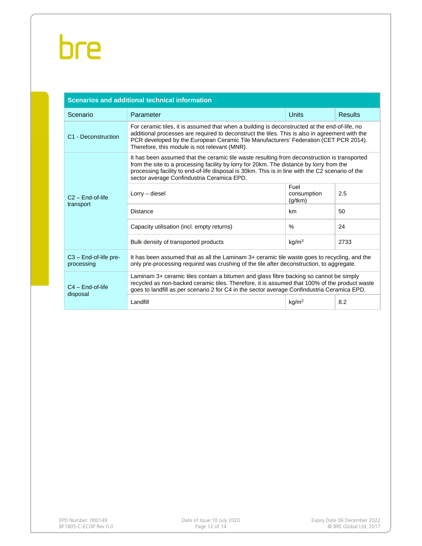| <b>Scenarios and additional technical information</b> |                                                                                                                                                                                                                                                                                                                                            |                                                                                                                                                                                                                                                                                        |                |  |  |  |  |  |  |  |
|-------------------------------------------------------|--------------------------------------------------------------------------------------------------------------------------------------------------------------------------------------------------------------------------------------------------------------------------------------------------------------------------------------------|----------------------------------------------------------------------------------------------------------------------------------------------------------------------------------------------------------------------------------------------------------------------------------------|----------------|--|--|--|--|--|--|--|
| Scenario                                              | Parameter                                                                                                                                                                                                                                                                                                                                  | <b>Units</b>                                                                                                                                                                                                                                                                           | <b>Results</b> |  |  |  |  |  |  |  |
| C1 - Deconstruction                                   | For ceramic tiles, it is assumed that when a building is deconstructed at the end-of-life, no<br>additional processes are required to deconstruct the tiles. This is also in agreement with the<br>PCR developed by the European Ceramic Tile Manufacturers' Federation (CET PCR 2014).<br>Therefore, this module is not relevant (MNR).   |                                                                                                                                                                                                                                                                                        |                |  |  |  |  |  |  |  |
| $C2 - End-of-life$                                    | It has been assumed that the ceramic tile waste resulting from deconstruction is transported<br>from the site to a processing facility by lorry for 20km. The distance by lorry from the<br>processing facility to end-of-life disposal is 30km. This is in line with the C2 scenario of the<br>sector average Confindustria Ceramica EPD. |                                                                                                                                                                                                                                                                                        |                |  |  |  |  |  |  |  |
|                                                       | $Lorrv - diesel$                                                                                                                                                                                                                                                                                                                           | Fuel<br>consumption<br>(g/tkm)                                                                                                                                                                                                                                                         | 2.5            |  |  |  |  |  |  |  |
| transport                                             | <b>Distance</b>                                                                                                                                                                                                                                                                                                                            | km                                                                                                                                                                                                                                                                                     | 50             |  |  |  |  |  |  |  |
|                                                       | Capacity utilisation (incl. empty returns)                                                                                                                                                                                                                                                                                                 | $\frac{0}{0}$                                                                                                                                                                                                                                                                          | 24             |  |  |  |  |  |  |  |
|                                                       | Bulk density of transported products                                                                                                                                                                                                                                                                                                       | kg/m <sup>3</sup>                                                                                                                                                                                                                                                                      | 2733           |  |  |  |  |  |  |  |
| $C3$ – End-of-life pre-<br>processing                 | It has been assumed that as all the Laminam 3+ ceramic tile waste goes to recycling, and the<br>only pre-processing required was crushing of the tile after deconstruction, to aggregate.                                                                                                                                                  |                                                                                                                                                                                                                                                                                        |                |  |  |  |  |  |  |  |
| $C4 - End-of-life$<br>disposal                        |                                                                                                                                                                                                                                                                                                                                            | Laminam 3+ ceramic tiles contain a bitumen and glass fibre backing so cannot be simply<br>recycled as non-backed ceramic tiles. Therefore, it is assumed that 100% of the product waste<br>goes to landfill as per scenario 2 for C4 in the sector average Confindustria Ceramica EPD. |                |  |  |  |  |  |  |  |
|                                                       | Landfill                                                                                                                                                                                                                                                                                                                                   | kg/m <sup>2</sup>                                                                                                                                                                                                                                                                      | 8.2            |  |  |  |  |  |  |  |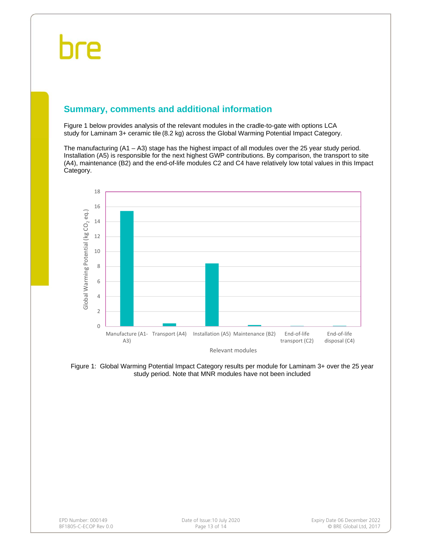### **Summary, comments and additional information**

Figure 1 below provides analysis of the relevant modules in the cradle-to-gate with options LCA study for Laminam 3+ ceramic tile (8.2 kg) across the Global Warming Potential Impact Category.

The manufacturing (A1 – A3) stage has the highest impact of all modules over the 25 year study period. Installation (A5) is responsible for the next highest GWP contributions. By comparison, the transport to site (A4), maintenance (B2) and the end-of-life modules C2 and C4 have relatively low total values in this Impact Category.



Figure 1: Global Warming Potential Impact Category results per module for Laminam 3+ over the 25 year study period. Note that MNR modules have not been included